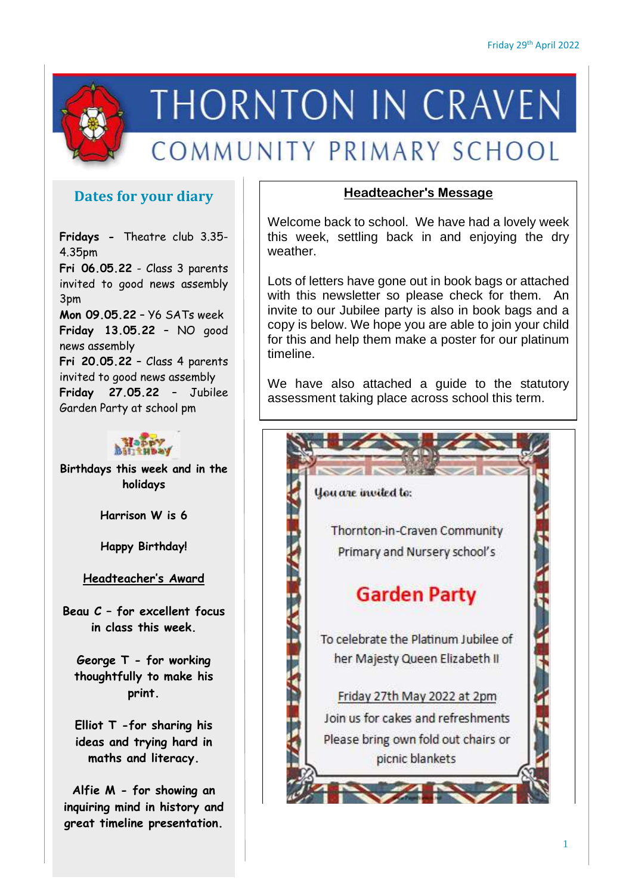

# **THORNTON IN CRAVEN**

## COMMUNITY PRIMARY SCHOOL

### **Dates for your diary**

**Fridays -** Theatre club 3.35- 4.35pm

**Fri 06.05.22** - Class 3 parents invited to good news assembly 3pm

**Mon 09.05.22** – Y6 SATs week **Friday 13.05.22** – NO good news assembly **Fri 20.05.22** – Class 4 parents invited to good news assembly **Friday 27.05.22** – Jubilee Garden Party at school pm



**Birthdays this week and in the holidays**

**Harrison W is 6**

**Happy Birthday!**

#### **Headteacher's Award**

**Beau C – for excellent focus in class this week.**

**George T - for working thoughtfully to make his print.**

**Elliot T -for sharing his ideas and trying hard in maths and literacy.**

**Alfie M - for showing an inquiring mind in history and great timeline presentation.**

#### **Headteacher's Message**

Welcome back to school. We have had a lovely week this week, settling back in and enjoying the dry weather.

Lots of letters have gone out in book bags or attached with this newsletter so please check for them. An invite to our Jubilee party is also in book bags and a copy is below. We hope you are able to join your child for this and help them make a poster for our platinum timeline.

We have also attached a guide to the statutory assessment taking place across school this term.